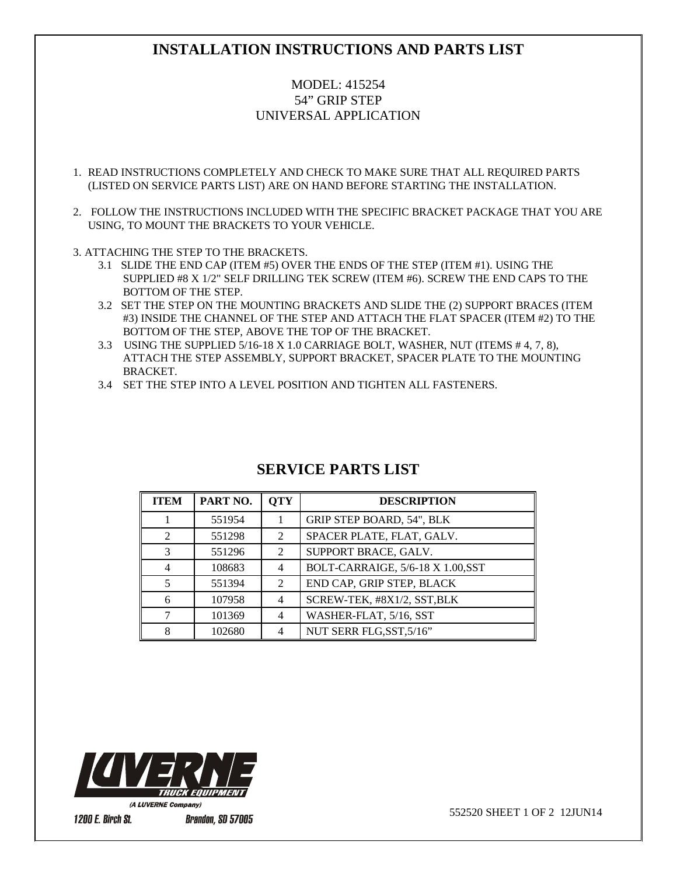# **INSTALLATION INSTRUCTIONS AND PARTS LIST**

### MODEL: 415254 54" GRIP STEP UNIVERSAL APPLICATION

- 1. READ INSTRUCTIONS COMPLETELY AND CHECK TO MAKE SURE THAT ALL REQUIRED PARTS (LISTED ON SERVICE PARTS LIST) ARE ON HAND BEFORE STARTING THE INSTALLATION.
- 2. FOLLOW THE INSTRUCTIONS INCLUDED WITH THE SPECIFIC BRACKET PACKAGE THAT YOU ARE USING, TO MOUNT THE BRACKETS TO YOUR VEHICLE.
- 3. ATTACHING THE STEP TO THE BRACKETS.
	- 3.1 SLIDE THE END CAP (ITEM #5) OVER THE ENDS OF THE STEP (ITEM #1). USING THE SUPPLIED #8 X 1/2" SELF DRILLING TEK SCREW (ITEM #6). SCREW THE END CAPS TO THE BOTTOM OF THE STEP.
	- 3.2 SET THE STEP ON THE MOUNTING BRACKETS AND SLIDE THE (2) SUPPORT BRACES (ITEM #3) INSIDE THE CHANNEL OF THE STEP AND ATTACH THE FLAT SPACER (ITEM #2) TO THE BOTTOM OF THE STEP, ABOVE THE TOP OF THE BRACKET.
	- 3.3 USING THE SUPPLIED 5/16-18 X 1.0 CARRIAGE BOLT, WASHER, NUT (ITEMS # 4, 7, 8), ATTACH THE STEP ASSEMBLY, SUPPORT BRACKET, SPACER PLATE TO THE MOUNTING BRACKET.
	- 3.4 SET THE STEP INTO A LEVEL POSITION AND TIGHTEN ALL FASTENERS.

| <b>ITEM</b>   | PART NO. | <b>OTY</b>                  | <b>DESCRIPTION</b>                |
|---------------|----------|-----------------------------|-----------------------------------|
|               | 551954   |                             | GRIP STEP BOARD, 54", BLK         |
| $\mathcal{D}$ | 551298   | $\mathfrak{D}$              | SPACER PLATE, FLAT, GALV.         |
| $\mathcal{R}$ | 551296   | $\mathfrak{D}$              | SUPPORT BRACE, GALV.              |
|               | 108683   | 4                           | BOLT-CARRAIGE, 5/6-18 X 1.00, SST |
|               | 551394   | $\mathcal{D}_{\mathcal{L}}$ | END CAP, GRIP STEP, BLACK         |
|               | 107958   | 4                           | SCREW-TEK, #8X1/2, SST, BLK       |
|               | 101369   | 4                           | WASHER-FLAT, 5/16, SST            |
|               | 102680   | 4                           | NUT SERR FLG, SST, 5/16"          |

### **SERVICE PARTS LIST**



552520 SHEET 1 OF 2 12JUN14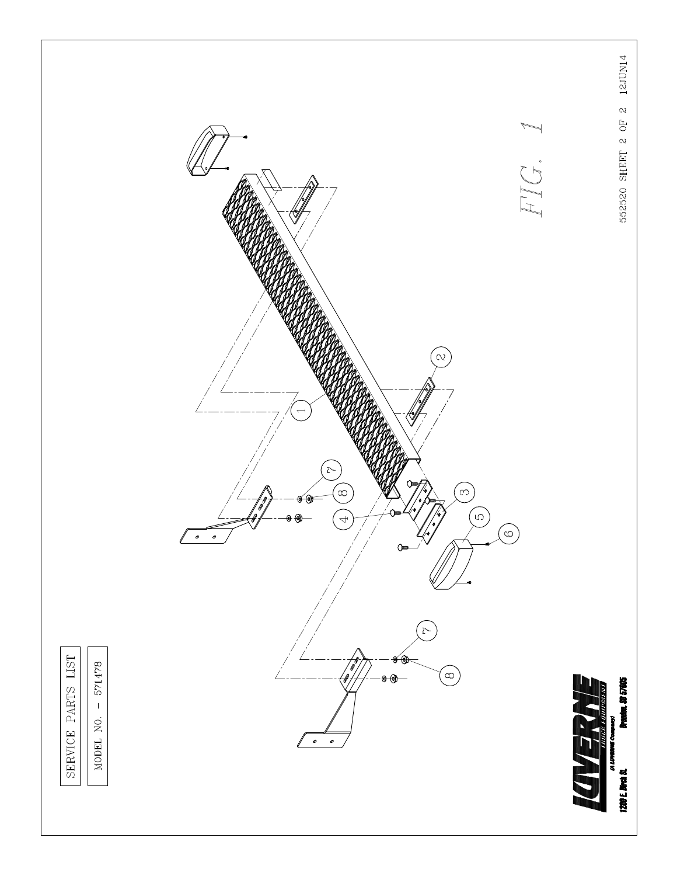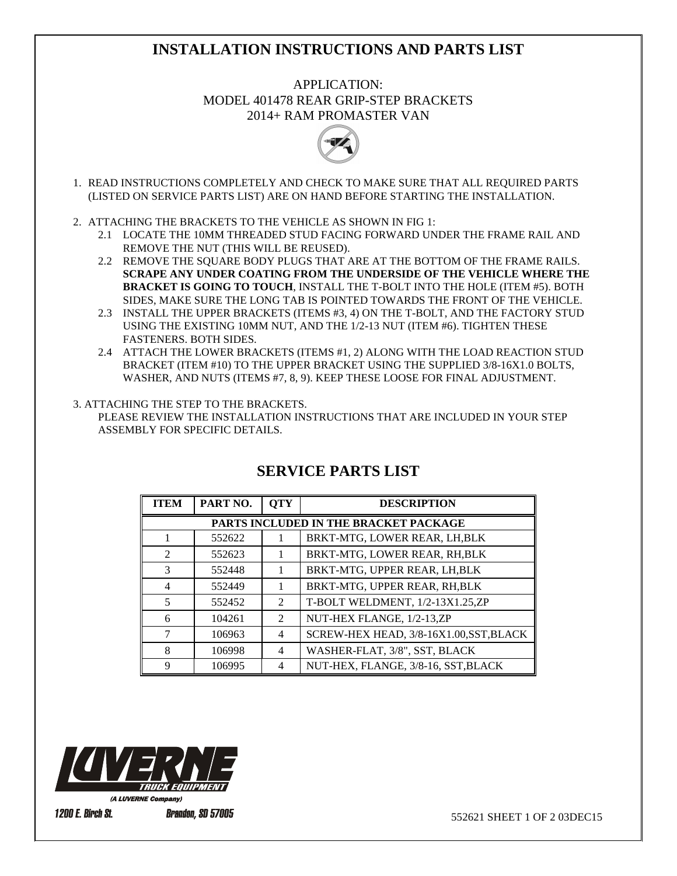## **INSTALLATION INSTRUCTIONS AND PARTS LIST**

APPLICATION: MODEL 401478 REAR GRIP-STEP BRACKETS 2014+ RAM PROMASTER VAN



- 1. READ INSTRUCTIONS COMPLETELY AND CHECK TO MAKE SURE THAT ALL REQUIRED PARTS (LISTED ON SERVICE PARTS LIST) ARE ON HAND BEFORE STARTING THE INSTALLATION.
- 2. ATTACHING THE BRACKETS TO THE VEHICLE AS SHOWN IN FIG 1:
	- 2.1 LOCATE THE 10MM THREADED STUD FACING FORWARD UNDER THE FRAME RAIL AND REMOVE THE NUT (THIS WILL BE REUSED).
	- 2.2 REMOVE THE SQUARE BODY PLUGS THAT ARE AT THE BOTTOM OF THE FRAME RAILS. **SCRAPE ANY UNDER COATING FROM THE UNDERSIDE OF THE VEHICLE WHERE THE BRACKET IS GOING TO TOUCH**, INSTALL THE T-BOLT INTO THE HOLE (ITEM #5). BOTH SIDES, MAKE SURE THE LONG TAB IS POINTED TOWARDS THE FRONT OF THE VEHICLE.
	- 2.3 INSTALL THE UPPER BRACKETS (ITEMS #3, 4) ON THE T-BOLT, AND THE FACTORY STUD USING THE EXISTING 10MM NUT, AND THE 1/2-13 NUT (ITEM #6). TIGHTEN THESE FASTENERS. BOTH SIDES.
	- 2.4 ATTACH THE LOWER BRACKETS (ITEMS #1, 2) ALONG WITH THE LOAD REACTION STUD BRACKET (ITEM #10) TO THE UPPER BRACKET USING THE SUPPLIED 3/8-16X1.0 BOLTS, WASHER, AND NUTS (ITEMS #7, 8, 9). KEEP THESE LOOSE FOR FINAL ADJUSTMENT.

#### 3. ATTACHING THE STEP TO THE BRACKETS.

 PLEASE REVIEW THE INSTALLATION INSTRUCTIONS THAT ARE INCLUDED IN YOUR STEP ASSEMBLY FOR SPECIFIC DETAILS.

| <b>ITEM</b>                           | PART NO. | <b>OTY</b>     | <b>DESCRIPTION</b>                      |  |
|---------------------------------------|----------|----------------|-----------------------------------------|--|
| PARTS INCLUDED IN THE BRACKET PACKAGE |          |                |                                         |  |
|                                       | 552622   |                | BRKT-MTG, LOWER REAR, LH, BLK           |  |
| 2                                     | 552623   | 1              | BRKT-MTG, LOWER REAR, RH, BLK           |  |
| $\mathcal{R}$                         | 552448   |                | BRKT-MTG, UPPER REAR, LH, BLK           |  |
| $\overline{4}$                        | 552449   |                | BRKT-MTG, UPPER REAR, RH, BLK           |  |
| 5                                     | 552452   | $\mathfrak{D}$ | T-BOLT WELDMENT, 1/2-13X1.25,ZP         |  |
| 6                                     | 104261   | $\mathfrak{D}$ | NUT-HEX FLANGE, 1/2-13,ZP               |  |
|                                       | 106963   | 4              | SCREW-HEX HEAD, 3/8-16X1.00, SST, BLACK |  |
| 8                                     | 106998   | 4              | WASHER-FLAT, 3/8", SST, BLACK           |  |
| 9                                     | 106995   | 4              | NUT-HEX, FLANGE, 3/8-16, SST, BLACK     |  |

## **SERVICE PARTS LIST**



552621 SHEET 1 OF 2 03DEC15